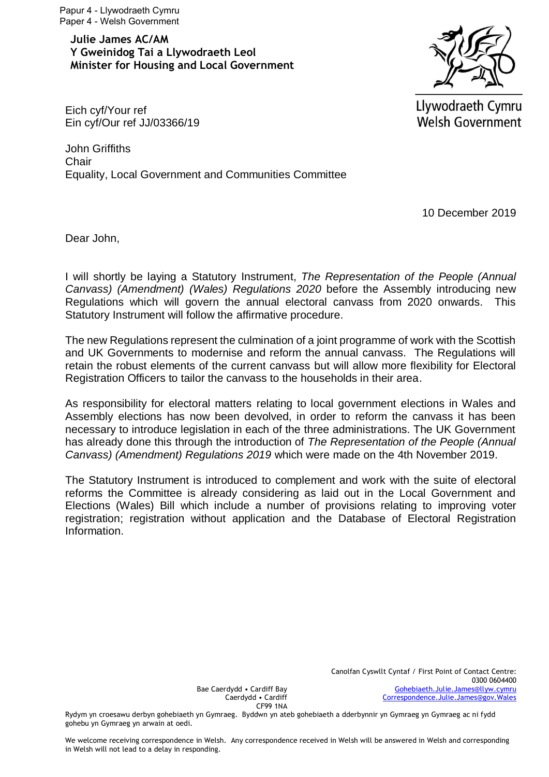Papur 4 - Llywodraeth Cymru Paper 4 - Welsh Government

**Julie James AC/AM Y Gweinidog Tai a Llywodraeth Leol Minister for Housing and Local Government** 



Llywodraeth Cymru **Welsh Government** 

Eich cyf/Your ref Ein cyf/Our ref JJ/03366/19

John Griffiths **Chair** Equality, Local Government and Communities Committee

10 December 2019

Dear John,

I will shortly be laying a Statutory Instrument, *The Representation of the People (Annual Canvass) (Amendment) (Wales) Regulations 2020* before the Assembly introducing new Regulations which will govern the annual electoral canvass from 2020 onwards. This Statutory Instrument will follow the affirmative procedure.

The new Regulations represent the culmination of a joint programme of work with the Scottish and UK Governments to modernise and reform the annual canvass. The Regulations will retain the robust elements of the current canvass but will allow more flexibility for Electoral Registration Officers to tailor the canvass to the households in their area.

As responsibility for electoral matters relating to local government elections in Wales and Assembly elections has now been devolved, in order to reform the canvass it has been necessary to introduce legislation in each of the three administrations. The UK Government has already done this through the introduction of *The Representation of the People (Annual Canvass) (Amendment) Regulations 2019* which were made on the 4th November 2019.

The Statutory Instrument is introduced to complement and work with the suite of electoral reforms the Committee is already considering as laid out in the Local Government and Elections (Wales) Bill which include a number of provisions relating to improving voter registration; registration without application and the Database of Electoral Registration Information.

Bae Caerdydd • Cardiff Bay Caerdydd • Cardiff CF99 1NA

Rydym yn croesawu derbyn gohebiaeth yn Gymraeg. Byddwn yn ateb gohebiaeth a dderbynnir yn Gymraeg yn Gymraeg ac ni fydd gohebu yn Gymraeg yn arwain at oedi.